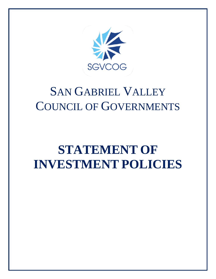

# SAN GABRIEL VALLEY COUNCIL OF GOVERNMENTS

# **STATEMENT OF INVESTMENT POLICIES**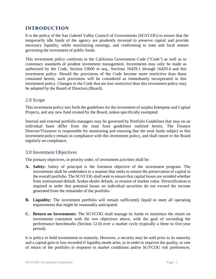# **INTRODUCTION**

It is the policy of the San Gabriel Valley Council of Governments (SGVCOG) to ensure that the temporarily idle funds of the agency are prudently invested to preserve capital and provide necessary liquidity, while maximizing earnings, and conforming to state and local statues governing the investment of public funds.

This investment policy conforms to the California Government Code ("Code") as well as to customary standards of prudent investment management. Investments may only be made as authorized by the Code, Section 53600 et seq., Sections 16429.1 through 16429.4 and this investment policy. Should the provisions of the Code become more restrictive than those contained herein, such provisions will be considered as immediately incorporated in this investment policy. Changes to the Code that are less restrictive than this investment policy may be adopted by the Board of Directors (Board).

# 2.0 Scope

This investment policy sets forth the guidelines for the investment of surplus Enterprise and Capital Projects, and any new fund created by the Board, unless specifically exempted.

Internal and external portfolio managers may be governed by Portfolio Guidelines that may on an individual basis differ from the total fund guidelines outlined herein. The Finance Director/Treasurer is responsible for monitoring and ensuring that the total funds subject to this investment policy remain in compliance with this investment policy, and shall report to the Board regularly on compliance.

#### 3.0 Investment Objectives

The primary objectives, in priority order, of investment activities shall be:

- **A. Safety:** Safety of principal is the foremost objective of the investment program. The investments shall be undertaken in a manner that seeks to ensure the preservation of capital in the overall portfolio. The SGVCOG shall seek to ensure that capital losses are avoided whether from institutional default, broker-dealer default, or erosion of market value. Diversification is required in order that potential losses on individual securities do not exceed the income generated from the remainder of the portfolio.
- **B. Liquidity:** The investment portfolio will remain sufficiently liquid to meet all operating requirements that might be reasonably anticipated.
- **C. Return on Investments:** The SGVCOG shall manage its funds to maximize the return on investments consistent with the two objectives above, with the goal of exceeding the performance benchmarks (Section 12.0) over a market cycle (typically a three to five-year period).

It is policy to hold investments to maturity. However, a security may be sold prior to its maturity and a capital gain or loss recorded if liquidity needs arise, or in order to improve the quality, or rate of return of the portfolio in response to market conditions and/or SGVCOG risk preferences.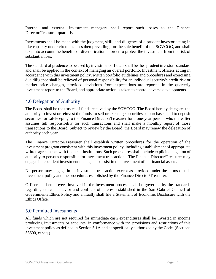Internal and external investment managers shall report such losses to the Finance Director/Treasurer quarterly.

Investments shall be made with the judgment, skill, and diligence of a prudent investor acting in like capacity under circumstances then prevailing, for the sole benefit of the SGVCOG, and shall take into account the benefits of diversification in order to protect the investment from the risk of substantial loss.

The standard of prudence to be used by investment officialsshall be the "prudent investor" standard and shall be applied in the context of managing an overall portfolio. Investment officers acting in accordance with this investment policy, written portfolio guidelines and procedures and exercising due diligence shall be relieved of personal responsibility for an individual security's credit risk or market price changes, provided deviations from expectations are reported in the quarterly investment report to the Board, and appropriate action is taken to control adverse developments.

## 4.0 Delegation of Authority

The Board shall be the trustee of funds received by the SGVCOG. The Board hereby delegates the authority to invest or reinvest the funds, to sell or exchange securities so purchased and to deposit securities for safekeeping to the Finance Director/Treasurer for a one-year period, who thereafter assumes full responsibility for such transactions and shall make a monthly report of those transactions to the Board. Subject to review by the Board, the Board may renew the delegation of authority each year.

The Finance Director/Treasurer shall establish written procedures for the operation of the investment program consistent with this investment policy, including establishment of appropriate written agreements with financial institutions. Such procedures shall include explicit delegation of authority to persons responsible for investment transactions. The Finance Director/Treasurer may engage independent investment managers to assist in the investment of its financial assets.

No person may engage in an investment transaction except as provided under the terms of this investment policy and the procedures established by the Finance Director/Treasurer.

Officers and employees involved in the investment process shall be governed by the standards regarding ethical behavior and conflicts of interest established in the San Gabriel Council of Governments Ethics Policy and annually shall file a Statement of Economic Disclosure with the Ethics Office.

#### 5.0 Permitted Investments

All funds which are not required for immediate cash expenditures shall be invested in income producing investments or accounts, in conformance with the provisions and restrictions of this investment policy as defined in Section 5.1A and as specifically authorized by the Code, (Sections 53600, et seq.).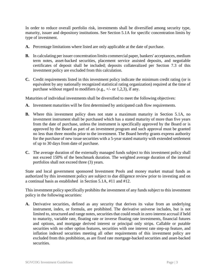In order to reduce overall portfolio risk, investments shall be diversified among security type, maturity, issuer and depository institutions. See Section 5.1A for specific concentration limits by type of investment.

- **A.** Percentage limitations where listed are only applicable at the date of purchase.
- **B.** In calculating per issuer concentration limits commercial paper, bankers' acceptances, medium term notes, asset-backed securities, placement service assisted deposits, and negotiable certificates of deposit shall be included; deposits collateralized per Section 7.3 of this investment policy are excluded from this calculation.
- **C.** Credit requirements listed in this investment policy indicate the minimum credit rating (or is equivalent by any nationally recognized statistical rating organization) required at the time of purchase without regard to modifiers (e.g.,  $+/-$  or 1,2,3), if any.

Maturities of individual investments shall be diversified to meet the following objectives:

- **A.** Investment maturities will be first determined by anticipated cash flow requirements.
- **B.** Where this investment policy does not state a maximum maturity in Section 5.1A, no investment instrument shall be purchased which has a stated maturity of more than five years from the date of purchase, unless the instrument is specifically approved by the Board or is approved by the Board as part of an investment program and such approval must be granted no less than three months prior to the investment. The Board hereby grants express authority for the purchase of new issue securities with a 5-year stated maturity with extended settlement of up to 30 days from date of purchase.
- **C.** The average duration of the externally managed funds subject to this investment policy shall not exceed 150% of the benchmark duration. The weighted average duration of the internal portfolios shall not exceed three (3) years.

State and local government sponsored Investment Pools and money market mutual funds as authorized by this investment policy are subject to due diligence review prior to investing and on a continual basis as established in Section 5.1A, #11 and #12.

This investment policy specifically prohibits the investment of any funds subject to this investment policy in the following securities:

**A.** Derivative securities, defined as any security that derives its value from an underlying instrument, index, or formula, are prohibited. The derivative universe includes, but is not limited to, structured and range notes, securities that could result in zero interest accrual if held to maturity, variable rate, floating rate or inverse floating rate investments, financial futures and options, and mortgage derived interest or principal only strips. Callable or putable securities with no other option features, securities with one interest rate step-up feature, and inflation indexed securities meeting all other requirements of this investment policy are excluded from this prohibition, as are fixed rate mortgage-backed securities and asset-backed securities.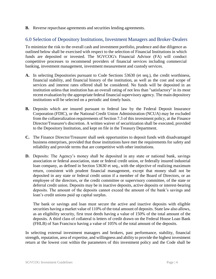**B.** Reverse repurchase agreements and securities lending agreements.

# 6.0 Selection of Depository Institutions, Investment Managers and Broker-Dealers

To minimize the risk to the overall cash and investment portfolio, prudence and due diligence as outlined below shall be exercised with respect to the selection of Financial Institutions in which funds are deposited or invested. The SGVCOG's Financial Advisor (FA) will conduct competitive processes to recommend providers of financial services including commercial banking, investment management, investment measurement and custody services.

- **A.** In selecting Depositories pursuant to Code Sections 53630 (et seq.), the credit worthiness, financial stability, and financial history of the institution, as well as the cost and scope of services and interest rates offered shall be considered. No funds will be deposited in an institution unless that institution has an overall rating of not less than "satisfactory" in its most recent evaluation by the appropriate federal financial supervisory agency. The main depository institutions will be selected on a periodic and timely basis.
- **B.** Deposits which are insured pursuant to federal law by the Federal Deposit Insurance Corporation (FDIC), or the National Credit Union Administration (NCUA) may be excluded from the collateralization requirements of Section 7.3 of this investment policy, at the Finance Director/Treasurer's discretion. A written waiver of securitization shall be executed, provided to the Depository Institution, and kept on file in the Treasury Department.
- **C.** The Finance Director/Treasurer shall seek opportunities to deposit funds with disadvantaged business enterprises, provided that those institutions have met the requirements for safety and reliability and provide terms that are competitive with other institutions.
- **D.** Deposits: The Agency's money shall be deposited in any state or national bank, savings association or federal association, state or federal credit union, or federally insured industrial loan company, as defined in Section 53630 et seq., with the objective of realizing maximum return, consistent with prudent financial management, except that money shall not be deposited in any state or federal credit union if a member of the Board of Directors, or an employee of the directors, or the credit committee or supervisory committee, of the state or deferral credit union. Deposits may be in inactive deposits, active deposits or interest-bearing deposits. The amount of the deposits cannot exceed the amount of the bank's savings and loan's credit unions paid up capital surplus.

The bank or savings and loan must secure the active and inactive deposits with eligible securities having a market value of 110% of the total amount of deposits. State law also allows, as an eligibility security, first trust deeds having a value of 150% of the total amount of the deposits. A third class of collateral is letters of credit drawn on the Federal House Loan Bank (FHLB) of San Francisco having a value of 105% of the total amount of the deposits.

In selecting external investment managers and brokers, past performance, stability, financial strength, reputation, area of expertise, and willingness and ability to provide the highest investment return at the lowest cost within the parameters of this investment policy and the Code shall be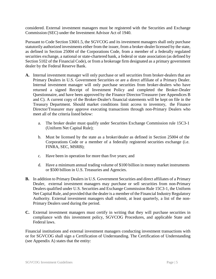considered. External investment managers must be registered with the Securities and Exchange Commission (SEC) under the Investment Advisor Act of 1940.

Pursuant to Code Section 53601.5, the SGVCOG and its investment managers shall only purchase statutorily authorized investments either from the issuer, from a broker-dealer licensed by the state, as defined in Section 25004 of the Corporations Code, from a member of a federally regulated securities exchange, a national or state-chartered bank, a federal or state association (as defined by Section 5102 of the Financial Code), or from a brokerage firm designated as a primary government dealer by the Federal Reserve Bank.

- **A.** Internal investment manager will only purchase or sell securities from broker-dealers that are Primary Dealers in U.S. Government Securities or are a direct affiliate of a Primary Dealer. Internal investment manager will only purchase securities from broker-dealers who have returned a signed Receipt of Investment Policy and completed the Broker-Dealer Questionnaire, and have been approved by the Finance Director/Treasurer (see Appendices B and C). A current copy of the Broker-Dealer's financial statements will be kept on file in the Treasury Department. Should market conditions limit access to inventory, the Finance Director/Treasurer may approve executing transactions through non-Primary Dealers who meet all of the criteria listed below:
	- a. The broker dealer must qualify under Securities Exchange Commission rule 15C3-1 (Uniform Net Capital Rule);
	- b. Must be licensed by the state as a broker/dealer as defined in Section 25004 of the Corporations Code or a member of a federally registered securities exchange (i.e. FINRA, SEC, MSRB);
	- c. Have been in operation for more than five years; and
	- d. Have a minimum annual trading volume of \$100 billion in money market instruments or \$500 billion in U.S. Treasuries and Agencies.
- **B.** In addition to Primary Dealers in U.S. Government Securities and direct affiliates of a Primary Dealer, external investment managers may purchase or sell securities from non-Primary Dealers qualified under U.S. Securities and Exchange Commission Rule 15C3-1, the Uniform Net Capital Rule, and provided that the dealer is a member of the Financial Industry Regulatory Authority. External investment managers shall submit, at least quarterly, a list of the non-Primary Dealers used during the period.
- **C.** External investment managers must certify in writing that they will purchase securities in compliance with this investment policy, SGVCOG Procedures, and applicable State and Federal laws.

Financial institutions and external investment managers conducting investment transactions with or for SGVCOG shall sign a Certification of Understanding. The Certification of Understanding (see Appendix A) states that the entity: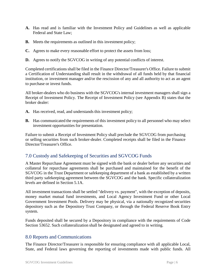- **A.** Has read and is familiar with the Investment Policy and Guidelines as well as applicable Federal and State Law;
- **B.** Meets the requirements as outlined in this investment policy;
- **C.** Agrees to make every reasonable effort to protect the assets from loss;
- **D.** Agrees to notify the SGVCOG in writing of any potential conflicts of interest.

Completed certificationsshall be filed in the Finance Director/Treasurer's Office. Failure to submit a Certification of Understanding shall result in the withdrawal of all funds held by that financial institution, or investment manager and/or the rescission of any and all authority to act as an agent to purchase or invest funds.

All broker-dealers who do business with the SGVCOG's internal investment managers shall sign a Receipt of Investment Policy. The Receipt of Investment Policy (see Appendix B) states that the broker dealer:

- **A.** Has received, read, and understands this investment policy;
- **B.** Has communicated the requirements of this investment policy to all personnel who may select investment opportunities for presentation.

Failure to submit a Receipt of Investment Policy shall preclude the SGVCOG from purchasing or selling securities from such broker-dealer. Completed receipts shall be filed in the Finance Director/Treasurer's Office.

# 7.0 Custody and Safekeeping of Securities and SGVCOG Funds

A Master Repurchase Agreement must be signed with the bank or dealer before any securities and collateral for repurchase agreements shall be purchased and maintained for the benefit of the SGVCOG in the Trust Department or safekeeping department of a bank as established by a written third party safekeeping agreement between the SGVCOG and the bank. Specific collateralization levels are defined in Section 5.1A.

All investment transactions shall be settled "delivery vs. payment", with the exception of deposits, money market mutual fund investments, and Local Agency Investment Fund or other Local Government Investment Pools. Delivery may be physical, via a nationally recognized securities depository such as the Depository Trust Company, or through the Federal Reserve Book Entry system.

Funds deposited shall be secured by a Depository in compliance with the requirements of Code Section 53652. Such collateralization shall be designated and agreed to in writing.

#### 8.0 Reports and Communications

The Finance Director/Treasurer is responsible for ensuring compliance with all applicable Local, State, and Federal laws governing the reporting of investments made with public funds. All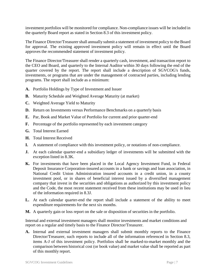investment portfolios will be monitored for compliance. Non-compliance issues will be included in the quarterly Board report as stated in Section 8.3 of this investment policy.

The Finance Director/Treasurer shall annually submit a statement of investment policy to the Board for approval. The existing approved investment policy will remain in effect until the Board approves the recommended statement of investment policy.

The Finance Director/Treasurer shall render a quarterly cash, investment, and transaction report to the CEO and Board, and quarterly to the Internal Auditor within 30 days following the end of the quarter covered by the report. The report shall include a description of SGVCOG's funds, investments, or programs that are under the management of contracted parties, including lending programs. The report shall include as a minimum:

- **A.** Portfolio Holdings by Type of Investment and Issuer
- **B.** Maturity Schedule and Weighted Average Maturity (at market)
- **C.** Weighted Average Yield to Maturity
- **D.** Return on Investments versus Performance Benchmarks on a quarterly basis
- **E.** Par, Book and Market Value of Portfolio for current and prior quarter-end
- **F.** Percentage of the portfolio represented by each investment category
- **G.** Total Interest Earned
- **H.** Total Interest Received
- **I.** A statement of compliance with this investment policy, or notations of non-compliance.
- **J.** At each calendar quarter-end a subsidiary ledger of investments will be submitted with the exception listed in 8.3K.
- **K.** For investments that have been placed in the Local Agency Investment Fund, in Federal Deposit Insurance Corporation-insured accounts in a bank or savings and loan association, in National Credit Union Administration insured accounts in a credit union, in a county investment pool, or in shares of beneficial interest issued by a diversified management company that invest in the securities and obligations as authorized by this investment policy and the Code, the most recent statement received from these institutions may be used in lieu of the information required in 8.3J.
- **L.** At each calendar quarter-end the report shall include a statement of the ability to meet expenditure requirements for the next six months.
- **M.** A quarterly gain or loss report on the sale or disposition of securities in the portfolio.

Internal and external investment managers shall monitor investments and market conditions and report on a regular and timely basis to the Finance Director/Treasurer.

**A.** Internal and external investment managers shall submit monthly reports to the Finance Director/Treasurer, such reports to include all of the information referenced in Section 8.3, items A-J of this investment policy. Portfolios shall be marked-to-market monthly and the comparison between historical cost (or book value) and market value shall be reported as part of this monthly report.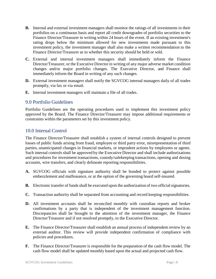- **B.** Internal and external investment managers shall monitor the ratings of all investments in their portfolios on a continuous basis and report all credit downgrades of portfolio securities to the Finance Director/Treasurer in writing within 24 hours of the event. If an existing investment's rating drops below the minimum allowed for new investments made pursuant to this investment policy, the investment manager shall also make a written recommendation to the Finance Director/Treasurer as to whether this security should be held or sold.
- **C.** External and internal investment managers shall immediately inform the Finance Director/Treasurer, or the Executive Director in writing of any major adverse market condition changes and/or major portfolio changes. The Executive Director, and Finance shall immediately inform the Board in writing of any such changes.
- **D.** External investment managers shall notify the SGVCOG internal managers daily of all trades promptly, via fax or via email.
- **E.** Internal investment managers will maintain a file of all trades.

### 9.0 Portfolio Guidelines

Portfolio Guidelines are the operating procedures used to implement this investment policy approved by the Board. The Finance Director/Treasurer may impose additional requirements or constraints within the parameters set by this investment policy.

## 10.0 Internal Control

The Finance Director/Treasurer shall establish a system of internal controls designed to prevent losses of public funds arising from fraud, employee or third party error, misrepresentation of third parties, unanticipated changes in financial markets, or imprudent actions by employees or agents. Such internal controls shall be approved by the Executive Director and shall include authorizations and procedures for investment transactions, custody/safekeeping transactions, opening and dosing accounts, wire transfers, and clearly delineate reporting responsibilities.

- **A.** SGVCOG officials with signature authority shall be bonded to protect against possible embezzlement and malfeasance, or at the option of the governing board self-insured.
- **B.** Electronic transfer of funds shall be executed upon the authorization of two official signatories.
- **C.** Transaction authority shall be separated from accounting and record keeping responsibilities.
- **D.** All investment accounts shall be reconciled monthly with custodian reports and broker confirmations by a party that is independent of the investment management function. Discrepancies shall be brought to the attention of the investment manager, the Finance Director/Treasurer and if not resolved promptly, to the Executive Director.
- **E.** The Finance Director/Treasurer shall establish an annual process of independent review by an external auditor. This review will provide independent confirmation of compliance with policies and procedures.
- **F.** The Finance Director/Treasurer is responsible for the preparation of the cash flow model. The cash flow model shall be updated monthly based upon the actual and projected cash flow.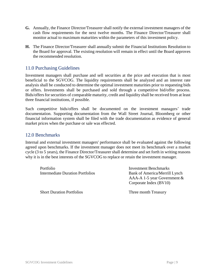- **G.** Annually, the Finance Director/Treasurer shall notify the external investment managers of the cash flow requirements for the next twelve months. The Finance Director/Treasurer shall monitor actual to maximum maturities within the parameters of this investment policy.
- **H.** The Finance Director/Treasurer shall annually submit the Financial Institutions Resolution to the Board for approval. The existing resolution will remain in effect until the Board approves the recommended resolution.

#### 11.0 Purchasing Guidelines

Investment managers shall purchase and sell securities at the price and execution that is most beneficial to the SGVCOG. The liquidity requirements shall be analyzed and an interest rate analysis shall be conducted to determine the optimal investment maturities prior to requesting bids or offers. Investments shall be purchased and sold through a competitive bid/offer process. Bids/offers for securities of comparable maturity, credit and liquidity shall be received from at least three financial institutions, if possible.

Such competitive bids/offers shall be documented on the investment managers' trade documentation. Supporting documentation from the Wall Street Journal, Bloomberg or other financial information system shall be filed with the trade documentation as evidence of general market prices when the purchase or sale was effected.

### 12.0 Benchmarks

Internal and external investment managers' performance shall be evaluated against the following agreed upon benchmarks. If the investment manager does not meet its benchmark over a market cycle (3 to 5 years), the Finance Director/Treasurer shall determine and set forth in writing reasons why it is in the best interests of the SGVCOG to replace or retain the investment manager.

Portfolio Investment Benchmarks Intermediate Duration Portfolios Bank of America/Merrill Lynch AAA-A 1-5 year Government & Corporate Index (BV10) Short Duration Portfolios Three month Treasury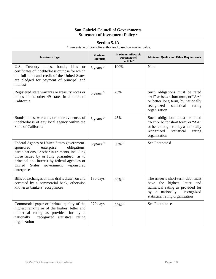### **San Gabriel Council of Governments Statement of Investment Policy** <sup>a</sup>

| <b>Investment Type</b>                                                                                                                                                                                                                                                                                        | <b>Maximum</b><br><b>Maturity</b> | <b>Maximum Allowable</b><br>Percentage of<br>Portfolio* | <b>Minimum Quality and Other Requirements</b>                                                                                                                               |
|---------------------------------------------------------------------------------------------------------------------------------------------------------------------------------------------------------------------------------------------------------------------------------------------------------------|-----------------------------------|---------------------------------------------------------|-----------------------------------------------------------------------------------------------------------------------------------------------------------------------------|
| U.S. Treasury notes, bonds,<br>bills<br><b>or</b><br>certificates of indebtedness or those for which<br>the full faith and credit of the United States<br>are pledged for payment of principal and<br>interest                                                                                                | $5$ years $b$                     | 100%                                                    | None                                                                                                                                                                        |
| Registered state warrants or treasury notes or<br>bonds of the other 49 states in addition to<br>California.                                                                                                                                                                                                  | $5$ years $b$                     | 25%                                                     | Such obligations must be rated<br>"A1" or better short term; or "AA"<br>or better long term, by nationally<br>recognized<br>statistical<br>rating<br>organization           |
| Bonds, notes, warrants, or other evidences of<br>indebtedness of any local agency within the<br><b>State of California</b>                                                                                                                                                                                    | $5$ years $b$                     | 25%                                                     | Such obligations must be rated<br>"A1" or better short term; or "AA"<br>or better long term, by a nationally<br>recognized<br>statistical<br>rating<br>organization         |
| Federal Agency or United States government-<br>sponsored<br>enterprise<br>obligations,<br>participations, or other instruments, including<br>those issued by or fully guaranteed as to<br>principal and interest by federal agencies or<br>United<br><b>States</b><br>government<br>-sponsored<br>enterprises | $5$ years $b$                     | $50\%$ <sup>d</sup>                                     | See Footnote d                                                                                                                                                              |
| Bills of exchanges or time drafts drawn on and<br>accepted by a commercial bank, otherwise<br>known as bankers' acceptances                                                                                                                                                                                   | 180 days                          | $40\%$ c                                                | The issuer's short-term debt must<br>have the highest letter<br>and<br>numerical rating as provided for<br>by a nationally<br>recognized<br>statistical rating organization |
| Commercial paper or "prime" quality of the<br>highest ranking or of the highest letter and<br>numerical rating as provided for by a<br>recognized statistical rating<br>nationally<br>organization                                                                                                            | 270 days                          | $25\%$ c                                                | See Footnote e                                                                                                                                                              |

#### **Section 5.1A**

\* Percentage of portfolio authorized based on market value.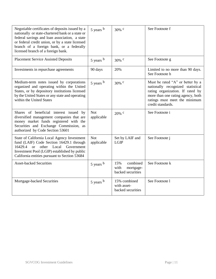| Negotiable certificates of deposits issued by a<br>nationally or state-chartered bank or a state or<br>federal savings and loan association, a state<br>or federal credit union, or by a state licensed<br>branch of a foreign bank, or a federally<br>licensed branch of a foreign bank. | 5 years b                | $30\%$ c                                                  | See Footnote f                                                                                                                                                                                       |
|-------------------------------------------------------------------------------------------------------------------------------------------------------------------------------------------------------------------------------------------------------------------------------------------|--------------------------|-----------------------------------------------------------|------------------------------------------------------------------------------------------------------------------------------------------------------------------------------------------------------|
| <b>Placement Service Assisted Deposits</b>                                                                                                                                                                                                                                                | 5 years b                | $30\%$ c                                                  | See Footnote g                                                                                                                                                                                       |
| Investments in repurchase agreements                                                                                                                                                                                                                                                      | 90 days                  | 20%                                                       | Limited to no more than 90 days.<br>See Footnote h                                                                                                                                                   |
| Medium-term notes issued by corporations<br>organized and operating within the United<br>States, or by depository institutions licensed<br>by the United States or any state and operating<br>within the United States                                                                    | 5 years b                | $30\%$ c                                                  | Must be rated "A" or better by a<br>nationally recognized statistical<br>rating organization. If rated by<br>more than one rating agency, both<br>ratings must meet the minimum<br>credit standards. |
| Shares of beneficial interest issued by<br>diversified management companies that are<br>money market funds registered with the<br>Securities and Exchange Commission, as<br>authorized by Code Section 53601                                                                              | <b>Not</b><br>applicable | $20\%$ c                                                  | See Footnote i                                                                                                                                                                                       |
| State of California Local Agency Investment<br>fund (LAIF) Code Section 16429.1 through<br><sub>or</sub><br>other Local Government<br>16429.4<br>Investment Pool (LGIP) established by public<br>California entities pursuant to Section 53684                                            | <b>Not</b><br>applicable | Set by LAIF and<br><b>LGIP</b>                            | See Footnote j                                                                                                                                                                                       |
| <b>Asset-backed Securities</b>                                                                                                                                                                                                                                                            | $5$ years $b$            | 15%<br>combined<br>with<br>mortgage-<br>backed securities | See Footnote k                                                                                                                                                                                       |
| Mortgage-backed Securities                                                                                                                                                                                                                                                                | $5$ years $b$            | 15% combined<br>with asset-<br>backed securities          | See Footnote 1                                                                                                                                                                                       |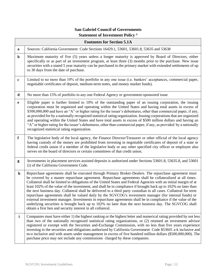# **San Gabriel Council of Governments Statement of Investment Policy** <sup>a</sup>

|             | <b>Footnotes for Section 5.1A</b>                                                                                                                                                                                                                                                                                                                                                                                                                                                                                                                                                                                                                                                                                                                                                                                                                                                                                                                                                 |
|-------------|-----------------------------------------------------------------------------------------------------------------------------------------------------------------------------------------------------------------------------------------------------------------------------------------------------------------------------------------------------------------------------------------------------------------------------------------------------------------------------------------------------------------------------------------------------------------------------------------------------------------------------------------------------------------------------------------------------------------------------------------------------------------------------------------------------------------------------------------------------------------------------------------------------------------------------------------------------------------------------------|
| a           | Sources: California Government Code Sections 16429.1, 53601, 53601.8, 53635 and 53638                                                                                                                                                                                                                                                                                                                                                                                                                                                                                                                                                                                                                                                                                                                                                                                                                                                                                             |
| $\mathbf b$ | Maximum maturity of five (5) years unless a longer maturity is approved by Board of Directors, either<br>specifically or as part of an investment program, at least three (3) months prior to the purchase. New issue<br>securities with a stated 5 year maturity can be purchased in the primary market with extended settlements of up<br>to 30 days from the date of purchase.                                                                                                                                                                                                                                                                                                                                                                                                                                                                                                                                                                                                 |
| $\mathbf c$ | Limited to no more than 10% of the portfolio in any one issue (i.e. bankers' acceptances, commercial paper,<br>negotiable certificates of deposit, medium-term notes, and money market funds).                                                                                                                                                                                                                                                                                                                                                                                                                                                                                                                                                                                                                                                                                                                                                                                    |
| $\mathbf d$ | No more than 15% of portfolio in any one Federal Agency or government-sponsored issue                                                                                                                                                                                                                                                                                                                                                                                                                                                                                                                                                                                                                                                                                                                                                                                                                                                                                             |
| e           | Eligible paper is further limited to 10% of the outstanding paper of an issuing corporation, the issuing<br>corporation must be organized and operating within the United States and having total assets in excess of<br>\$500,000,000 and have an "A" or higher rating for the issuer's debentures, other than commercial paper, if any,<br>as provided for by a nationally recognized statistical rating organization. Issuing corporations that are organized<br>and operating within the United States and have total assets in excess of \$500 million dollars and having an<br>"A" or higher rating for the issuer's debentures, other than commercial paper, if any, as provided by a nationally<br>recognized statistical rating organization.                                                                                                                                                                                                                            |
| $\mathbf f$ | The legislative body of the local agency, the Finance Director/Treasurer or other official of the local agency<br>having custody of the money are prohibited from investing in negotiable certificates of deposit of a state or<br>federal credit union if a member of the legislative body or any other specified city officer or employee also<br>serves on the board of directors or certain committees of that credit union.                                                                                                                                                                                                                                                                                                                                                                                                                                                                                                                                                  |
| g           | Investments in placement services assisted deposits is authorized under Sections 53601.8, 53635.8, and 53601<br>(i) of the California Government Code.                                                                                                                                                                                                                                                                                                                                                                                                                                                                                                                                                                                                                                                                                                                                                                                                                            |
| $\mathbf h$ | Repurchase agreements shall be executed through Primary Broker-Dealers. The repurchase agreement must<br>be covered by a master repurchase agreement. Repurchase agreements shall be collateralized at all times.<br>Collateral shall be limited to obligations of the United States and Federal Agencies with an initial margin of at<br>least 102% of the value of the investment, and shall be in compliance if brought back up to 102% no later than<br>the next business day. Collateral shall be delivered to a third party custodian in all cases. Collateral for term<br>repurchase agreements shall be valued daily by the SGVCOG's investment manager (for internal funds) or<br>external investment manager. Investments in repurchase agreements shall be in compliance if the value of the<br>underlying securities is brought back up to 102% no later than the next business day. The SGVCOG shall<br>obtain a first lien and security interest in all collateral. |
| i           | Companies must have either 1) the highest ranking or the highest letter and numerical rating provided by not less<br>than two of the nationally recognized statistical rating organizations, or (2) retained an investment advisor<br>registered or exempt with the Securities and-Exchange Commission, with no less than five years experience<br>investing in the securities and obligations authorized by California Government Code \$53601 a-k inclusive and<br>m-o inclusive and with assets under management in excess of five hundred million dollars (\$500,000,000). The<br>purchase price may not include any commissions charged by these companies.                                                                                                                                                                                                                                                                                                                  |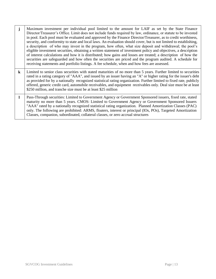- **j** Maximum investment per individual pool limited to the amount for LAIF as set by the State Finance Director/Treasurer's Office. Limit does not include funds required by law, ordinance, or statute to be invested in pool. Each pool must be evaluated and approved by the Finance Director/Treasurer, as to credit worthiness, security, and conformity to state and local laws. An evaluation should cover, but is not limited to establishing, a description of who may invest in the program, how often, what size deposit and withdrawal; the pool's eligible investment securities, obtaining a written statement of investment policy and objectives, a description of interest calculations and how it is distributed; how gains and losses are treated; a description of how the securities are safeguarded and how often the securities are priced and the program audited. A schedule for receiving statements and portfolio listings. A fee schedule, when and how fees are assessed.
- **k** Limited to senior class securities with stated maturities of no more than 5 years. Further limited to securities rated in a rating category of "AAA", and issued by an issuer having an "A" or higher rating for the issuer's debt as provided for by a nationally recognized statistical rating organization. Further limited to fixed rate, publicly offered, generic credit card, automobile receivables, and equipment receivables only. Deal size must be at least \$250 million, and tranche size must be at least \$25 million
- **l** Pass-Through securities: Limited to Government Agency or Government Sponsored issuers, fixed rate, stated maturity no more than 5 years. CMOS: Limited to Government Agency or Government Sponsored Issuers "AAA" rated by a nationally recognized statistical rating organization. Planned Amortization Classes (PAC) only. The following are prohibited: ARMS, floaters, interest or principal (IOs, POs), Targeted Amortization Classes, companion, subordinated, collateral classes, or zero accrual structures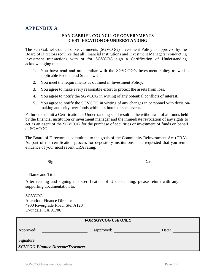### **APPENDIX A**

#### **SAN GABRIEL COUNCIL OF GOVERNMENTS CERTIFICATIONOFUNDERSTANDING**

The San Gabriel Council of Governments (SGVCOG) Investment Policy as approved by the Board of Directors requires that all Financial Institutions and Investment Managers' conducting investment transactions with or for SGVCOG sign a Certification of Understanding acknowledging that:

- 1. You have read and are familiar with the SGVCOG's Investment Policy as well as applicable Federal and State laws.
- 2. You meet the requirements as outlined in Investment Policy.
- 3. You agree to make every reasonable effort to protect the assets from loss.
- 4. You agree to notify the SGVCOG in writing of any potential conflicts of interest.
- 5. You agree to notify the SGVCOG in writing of any changes in personnel with decisionmaking authority over funds within 24 hours of such event.

Failure to submit a Certification of Understanding shall result in the withdrawal of all funds held by the financial institution or investment manager and the immediate revocation of any rights to act as an agent of the SGVCOG for the purchase of securities or investment of funds on behalf of SGVCOG.

The Board of Directors is committed to the goals of the Community Reinvestment Act (CRA). As part of the certification process for depository institutions, it is requested that you remit evidence of your most recent CRA rating.

| Sign | Date |
|------|------|
|      |      |

Name and Title

After reading and signing this Certification of Understanding, please return with any supporting documentation to:

SGVCOG Attention: Finance Director 4900 Rivergrade Road, Ste. A120 Irwindale, CA 91706

|            |                                          | <b>FOR SGVCOG USE ONLY</b> |       |  |
|------------|------------------------------------------|----------------------------|-------|--|
| Approved:  |                                          | Disapproved:               | Date: |  |
| Signature: |                                          |                            |       |  |
|            | <b>SGVCOG Finance Director/Treasurer</b> |                            |       |  |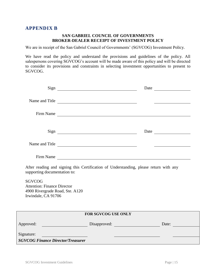#### **APPENDIX B**

#### **SAN GABRIEL COUNCIL OF GOVERNMENTS BROKER-DEALER RECEIPT OF INVESTMENT POLICY**

We are in receipt of the San Gabriel Council of Governments' (SGVCOG) Investment Policy.

We have read the policy and understand the provisions and guidelines of the policy. All salespersons covering SGVCOG's account will be made aware of this policy and will be directed to consider its provisions and constraints in selecting investment opportunities to present to SGVCOG.

|                                                                                                               |                                                                                       | Date                                                                                                                  |
|---------------------------------------------------------------------------------------------------------------|---------------------------------------------------------------------------------------|-----------------------------------------------------------------------------------------------------------------------|
|                                                                                                               | Name and Title                                                                        |                                                                                                                       |
|                                                                                                               | Firm Name                                                                             |                                                                                                                       |
|                                                                                                               |                                                                                       |                                                                                                                       |
|                                                                                                               | Name and Title                                                                        |                                                                                                                       |
|                                                                                                               | Firm Name                                                                             |                                                                                                                       |
| supporting documentation to:                                                                                  | After reading and signing this Certification of Understanding, please return with any |                                                                                                                       |
| <b>SGVCOG</b><br><b>Attention: Finance Director</b><br>4900 Rivergrade Road, Ste. A120<br>Irwindale, CA 91706 |                                                                                       |                                                                                                                       |
| <u> 1989 - Johann Stein, fransk politik (f. 1989)</u>                                                         | FOR SGVCOG USE ONLY                                                                   |                                                                                                                       |
| Approved:                                                                                                     | Disapproved: Disapproved: Date: Date:                                                 |                                                                                                                       |
| Signature:<br><u> 1990 - Johann Barbara, martin d</u><br><b>SGVCOG Finance Director/Treasurer</b>             |                                                                                       | <u> 1989 - Johann Harry Harry Harry Harry Harry Harry Harry Harry Harry Harry Harry Harry Harry Harry Harry Harry</u> |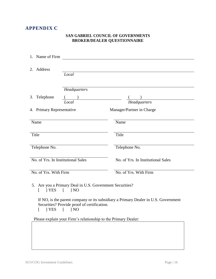# **APPENDIX C**

#### **SAN GABRIEL COUNCIL OF GOVERNMENTS BROKER/DEALER QUESTIONNAIRE**

| 1. Name of Firm           |                                                                                           |                                                                                    |
|---------------------------|-------------------------------------------------------------------------------------------|------------------------------------------------------------------------------------|
| 2. Address                | Local                                                                                     |                                                                                    |
|                           | Headquarters                                                                              |                                                                                    |
| 3. Telephone              | $($ )                                                                                     |                                                                                    |
|                           | Local                                                                                     | <b>Headquarters</b>                                                                |
| 4. Primary Representative |                                                                                           | Manager/Partner in Charge                                                          |
| Name                      |                                                                                           | Name                                                                               |
| Title                     |                                                                                           | Title                                                                              |
| Telephone No.             |                                                                                           | Telephone No.                                                                      |
|                           | No. of Yrs. In Institutional Sales                                                        | No. of Yrs. In Institutional Sales                                                 |
| No. of Yrs. With Firm     |                                                                                           | No. of Yrs. With Firm                                                              |
| 1 YES<br>$\mathbf{I}$     | 5. Are you a Primary Deal in U.S. Government Securities?<br>1 <sub>NO</sub><br>$\sqrt{ }$ |                                                                                    |
| YES<br>ſ                  | Securities? Provide proof of certification.<br>1 <sub>N</sub><br>ſ                        | If NO, is the parent company or its subsidiary a Primary Dealer in U.S. Government |
|                           | Please explain your Firm's relationship to the Primary Dealer:                            |                                                                                    |
|                           |                                                                                           |                                                                                    |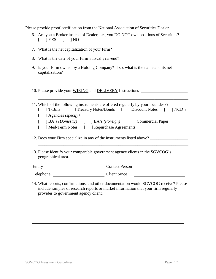Please provide proof certification from the National Association of Securities Dealer.

| $[$ $]$ YES $[$ $]$ NO                                                                              | 6. Are you a Broker instead of Dealer, i.e., you <b>DO NOT</b> own positions of Securities? |  |
|-----------------------------------------------------------------------------------------------------|---------------------------------------------------------------------------------------------|--|
| 7. What is the net capitalization of your Firm? _________________________________                   |                                                                                             |  |
| What is the date of your Firm's fiscal year-end? ________________________________<br>8.             |                                                                                             |  |
| 9. Is your Firm owned by a Holding Company? If so, what is the name and its net                     |                                                                                             |  |
|                                                                                                     | 10. Please provide your WIRING and DELIVERY Instructions _______________________            |  |
| 11. Which of the following instruments are offered regularly by your local desk?<br>$\mathbf{L}$    | ] T-Bills [ ] Treasury Notes/Bonds [ ] Discount Notes [ ] NCD's                             |  |
|                                                                                                     | ] BA's (Domestic) [ ] BA's (Foreign) [ ] Commercial Paper                                   |  |
| ] Med-Term Notes [ ] Repurchase Agreements<br>$\lceil$                                              |                                                                                             |  |
|                                                                                                     | 12. Does your Firm specialize in any of the instruments listed above?                       |  |
| 13. Please identify your comparable government agency clients in the SGVCOG's<br>geographical area. |                                                                                             |  |
| Entity<br><u> 1980 - Johann Barbara, martin d</u>                                                   | Contact Person                                                                              |  |
| Telephone                                                                                           | <b>Client Since</b>                                                                         |  |

14. What reports, confirmations, and other documentation would SGVCOG receive? Please include samples of research reports or market information that your firm regularly provides to government agency client.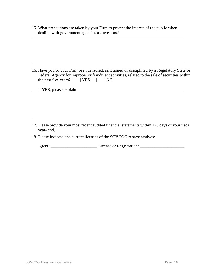15. What precautions are taken by your Firm to protect the interest of the public when dealing with government agencies as investors?

16. Have you or your Firm been censored, sanctioned or disciplined by a Regulatory State or Federal Agency for improper or fraudulent activities, related to the sale of securities within the past five years?  $[$  ] YES  $[$  ] NO

If YES, please explain

- 17. Please provide your most recent audited financial statements within 120 days of your fiscal year- end.
- 18. Please indicate the current licenses of the SGVCOG representatives:

Agent: \_\_\_\_\_\_\_\_\_\_\_\_\_\_\_\_\_\_\_\_\_\_ License or Registration: \_\_\_\_\_\_\_\_\_\_\_\_\_\_\_\_\_\_\_\_\_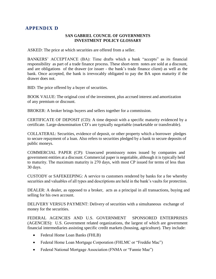# **APPENDIX D**

#### **SAN GABRIEL COUNCIL OF GOVERNMENTS INVESTMENT POLICY GLOSSARY**

ASKED: The price at which securities are offered from a seller.

BANKERS' ACCEPTANCE (BA): Time drafts which a bank "accepts" as its financial responsibility as part of a trade finance process. These short-term notes are sold at a discount, and are obligations of the drawer (or issuer - the bank's trade finance client) as well as the bank. Once accepted, the bank is irrevocably obligated to pay the BA upon maturity if the drawer does not.

BID: The price offered by a buyer of securities.

BOOK VALUE: The original cost of the investment, plus accrued interest and amortization of any premium or discount.

BROKER: A broker brings buyers and sellers together for a commission.

CERTIFICATE OF DEPOSIT (CD): A time deposit with a specific maturity evidenced by a certificate. Large-denomination CD's are typically negotiable (marketable or transferable).

COLLATERAL: Securities, evidence of deposit, or other property which a borrower pledges to secure repayment of a loan. Also refers to securities pledged by a bank to secure deposits of public moneys.

COMMERCIAL PAPER (CP): Unsecured promissory notes issued by companies and government entities at a discount. Commercial paper is negotiable, although it is typically held to maturity. The maximum maturity is 270 days, with most CP issued for terms of less than 30 days.

CUSTODY or SAFEKEEPING: A service to customers rendered by banks for a fee whereby securities and valuables of all types and descriptions are held in the bank's vaults for protection.

DEALER: A dealer, as opposed to a broker, acts as a principal in all transactions, buying and selling for his own account.

DELIVERY VERSUS PAYMENT: Delivery of securities with a simultaneous exchange of money for the securities.

FEDERAL AGENCIES AND U.S. GOVERNMENT SPONSORED ENTERPRISES (AGENCIES): U.S. Government related organizations, the largest of which are government financial intermediaries assisting specific credit markets (housing, agriculture). They include:

- Federal Home Loan Banks (FHLB)
- Federal Home Loan Mortgage Corporation (FHLMC or "Freddie Mac")
- Federal National Mortgage Association (FNMA or "Fannie Mae")